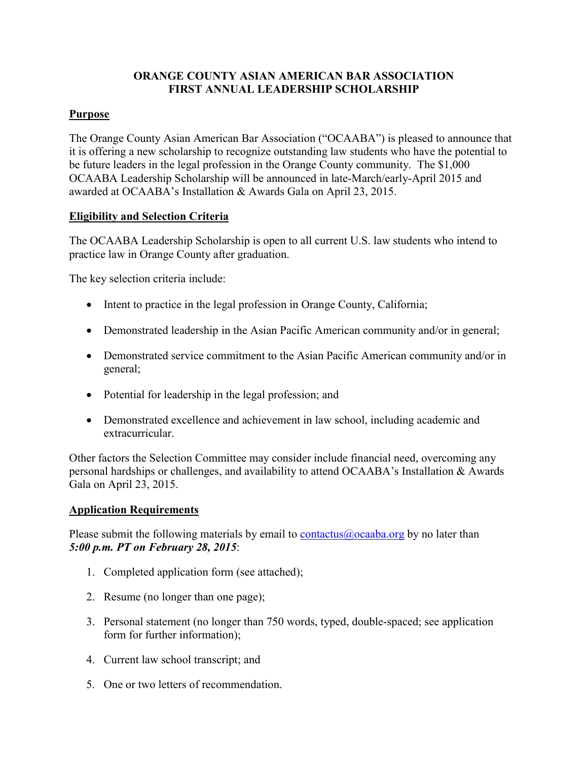### **ORANGE COUNTY ASIAN AMERICAN BAR ASSOCIATION FIRST ANNUAL LEADERSHIP SCHOLARSHIP**

### **Purpose**

The Orange County Asian American Bar Association ("OCAABA") is pleased to announce that it is offering a new scholarship to recognize outstanding law students who have the potential to be future leaders in the legal profession in the Orange County community. The \$1,000 OCAABA Leadership Scholarship will be announced in late-March/early-April 2015 and awarded at OCAABA's Installation & Awards Gala on April 23, 2015.

## **Eligibility and Selection Criteria**

The OCAABA Leadership Scholarship is open to all current U.S. law students who intend to practice law in Orange County after graduation.

The key selection criteria include:

- Intent to practice in the legal profession in Orange County, California;
- Demonstrated leadership in the Asian Pacific American community and/or in general;
- Demonstrated service commitment to the Asian Pacific American community and/or in general;
- Potential for leadership in the legal profession; and
- Demonstrated excellence and achievement in law school, including academic and extracurricular.

Other factors the Selection Committee may consider include financial need, overcoming any personal hardships or challenges, and availability to attend OCAABA's Installation & Awards Gala on April 23, 2015.

### **Application Requirements**

Please submit the following materials by email to [contactus@ocaaba.org](mailto:contactus@ocaaba.org) by no later than *5:00 p.m. PT on February 28, 2015*:

- 1. Completed application form (see attached);
- 2. Resume (no longer than one page);
- 3. Personal statement (no longer than 750 words, typed, double-spaced; see application form for further information);
- 4. Current law school transcript; and
- 5. One or two letters of recommendation.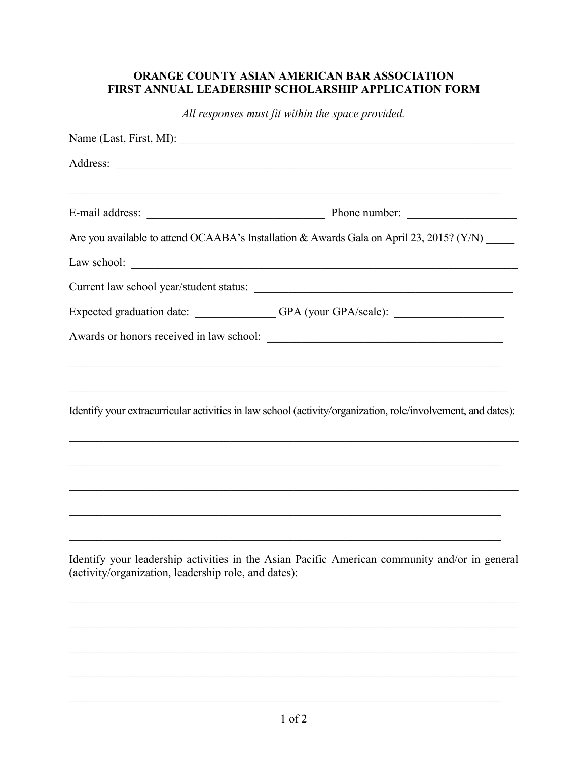# ORANGE COUNTY ASIAN AMERICAN BAR ASSOCIATION FIRST ANNUAL LEADERSHIP SCHOLARSHIP APPLICATION FORM

All responses must fit within the space provided.

|                                                      | Are you available to attend OCAABA's Installation & Awards Gala on April 23, 2015? (Y/N) _____                                                                                                                                   |
|------------------------------------------------------|----------------------------------------------------------------------------------------------------------------------------------------------------------------------------------------------------------------------------------|
|                                                      |                                                                                                                                                                                                                                  |
|                                                      | Current law school year/student status:                                                                                                                                                                                          |
|                                                      | Expected graduation date: _____________GPA (your GPA/scale): ___________________                                                                                                                                                 |
|                                                      |                                                                                                                                                                                                                                  |
|                                                      | Identify your extracurricular activities in law school (activity/organization, role/involvement, and dates):<br>and the control of the control of the control of the control of the control of the control of the control of the |
|                                                      |                                                                                                                                                                                                                                  |
| (activity/organization, leadership role, and dates): | Identify your leadership activities in the Asian Pacific American community and/or in general                                                                                                                                    |
|                                                      |                                                                                                                                                                                                                                  |
|                                                      |                                                                                                                                                                                                                                  |